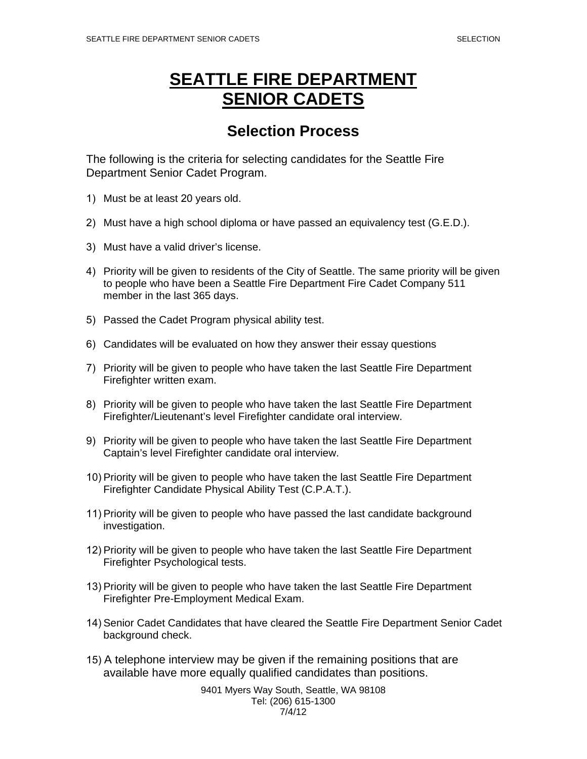## **SEATTLE FIRE DEPARTMENT SENIOR CADETS**

## **Selection Process**

The following is the criteria for selecting candidates for the Seattle Fire Department Senior Cadet Program.

- 1) Must be at least 20 years old.
- 2) Must have a high school diploma or have passed an equivalency test (G.E.D.).
- 3) Must have a valid driver's license.
- 4) Priority will be given to residents of the City of Seattle. The same priority will be given to people who have been a Seattle Fire Department Fire Cadet Company 511 member in the last 365 days.
- 5) Passed the Cadet Program physical ability test.
- 6) Candidates will be evaluated on how they answer their essay questions
- 7) Priority will be given to people who have taken the last Seattle Fire Department Firefighter written exam.
- 8) Priority will be given to people who have taken the last Seattle Fire Department Firefighter/Lieutenant's level Firefighter candidate oral interview.
- 9) Priority will be given to people who have taken the last Seattle Fire Department Captain's level Firefighter candidate oral interview.
- 10) Priority will be given to people who have taken the last Seattle Fire Department Firefighter Candidate Physical Ability Test (C.P.A.T.).
- 11) Priority will be given to people who have passed the last candidate background investigation.
- 12) Priority will be given to people who have taken the last Seattle Fire Department Firefighter Psychological tests.
- 13) Priority will be given to people who have taken the last Seattle Fire Department Firefighter Pre-Employment Medical Exam.
- 14) Senior Cadet Candidates that have cleared the Seattle Fire Department Senior Cadet background check.
- 15) A telephone interview may be given if the remaining positions that are available have more equally qualified candidates than positions.

9401 Myers Way South, Seattle, WA 98108 Tel: (206) 615-1300 7/4/12